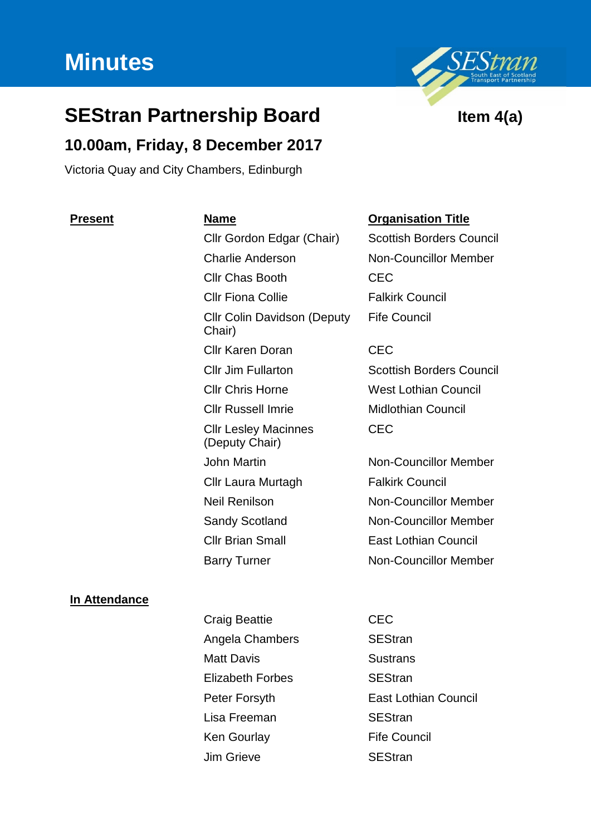# **Minutes**



# **10.00am, Friday, 8 December 2017**

Victoria Quay and City Chambers, Edinburgh

Cllr Gordon Edgar (Chair) Scottish Borders Council Charlie Anderson Non-Councillor Member Cllr Chas Booth CEC Cllr Fiona Collie **Falkirk Council** Cllr Colin Davidson (Deputy Chair) Cllr Karen Doran CEC Cllr Jim Fullarton Scottish Borders Council Cllr Chris Horne West Lothian Council Cllr Russell Imrie Midlothian Council Cllr Lesley Macinnes (Deputy Chair) John Martin Non-Councillor Member Cllr Laura Murtagh Falkirk Council Neil Renilson Non-Councillor Member Sandy Scotland Non-Councillor Member Cllr Brian Small East Lothian Council Barry Turner Non-Councillor Member

# **Present Name Organisation Title**

Fife Council

CEC

### **In Attendance**

- Craig Beattie **CEC** Angela Chambers SEStran Matt Davis **Sustrans** Elizabeth Forbes SEStran Peter Forsyth **East Lothian Council** Lisa Freeman SEStran Ken Gourlay Fife Council Jim Grieve SEStran
	-

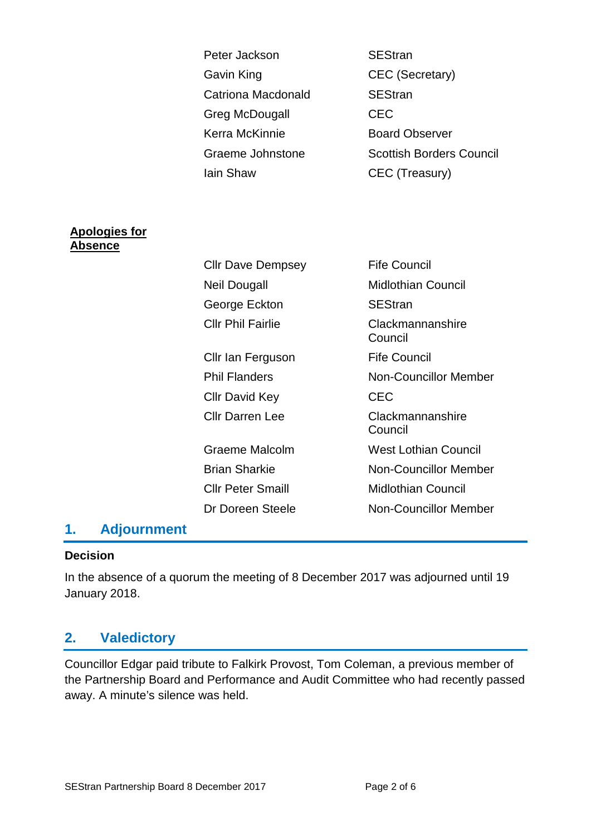|                                        | Peter Jackson             | <b>SEStran</b>                  |
|----------------------------------------|---------------------------|---------------------------------|
|                                        | Gavin King                | <b>CEC</b> (Secretary)          |
|                                        | <b>Catriona Macdonald</b> | <b>SEStran</b>                  |
|                                        | Greg McDougall            | <b>CEC</b>                      |
|                                        | Kerra McKinnie            | <b>Board Observer</b>           |
|                                        | Graeme Johnstone          | <b>Scottish Borders Council</b> |
|                                        | lain Shaw                 | CEC (Treasury)                  |
|                                        |                           |                                 |
| <u>Apologies for</u><br><u>Absence</u> |                           |                                 |
|                                        | <b>Cllr Dave Dempsey</b>  | <b>Fife Council</b>             |
|                                        | <b>Neil Dougall</b>       | <b>Midlothian Council</b>       |
|                                        | George Eckton             | <b>SEStran</b>                  |
|                                        | <b>Cllr Phil Fairlie</b>  | Clackmannanshire<br>Council     |
|                                        | Cllr Ian Ferguson         | <b>Fife Council</b>             |
|                                        | <b>Phil Flanders</b>      | <b>Non-Councillor Member</b>    |
|                                        | <b>CIIr David Key</b>     | <b>CEC</b>                      |
|                                        | <b>Cllr Darren Lee</b>    | Clackmannanshire<br>Council     |
|                                        | <b>Graeme Malcolm</b>     | <b>West Lothian Council</b>     |
|                                        | <b>Brian Sharkie</b>      | <b>Non-Councillor Member</b>    |
|                                        | <b>Cllr Peter Smaill</b>  | <b>Midlothian Council</b>       |
|                                        | Dr Doreen Steele          | <b>Non-Councillor Member</b>    |

# **1. Adjournment**

#### **Decision**

In the absence of a quorum the meeting of 8 December 2017 was adjourned until 19 January 2018.

# **2. Valedictory**

Councillor Edgar paid tribute to Falkirk Provost, Tom Coleman, a previous member of the Partnership Board and Performance and Audit Committee who had recently passed away. A minute's silence was held.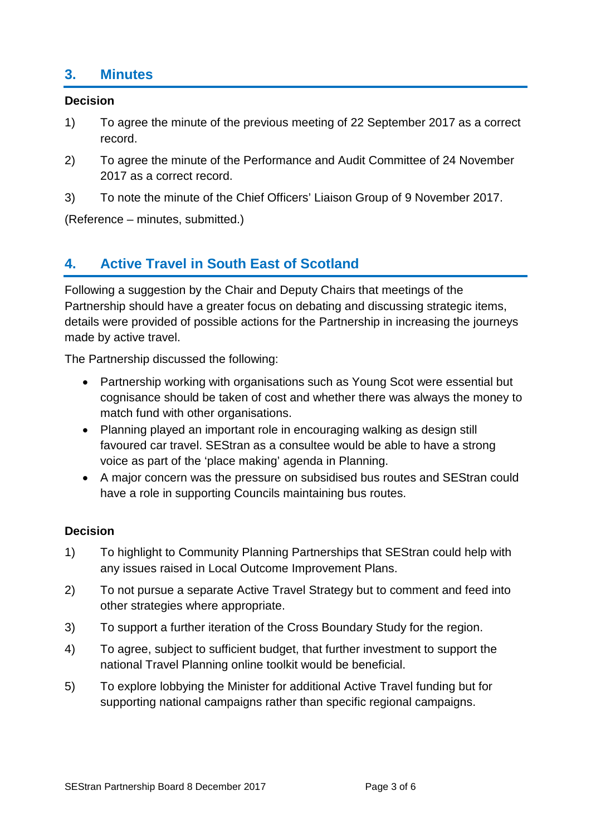# **3. Minutes**

#### **Decision**

- 1) To agree the minute of the previous meeting of 22 September 2017 as a correct record.
- 2) To agree the minute of the Performance and Audit Committee of 24 November 2017 as a correct record.
- 3) To note the minute of the Chief Officers' Liaison Group of 9 November 2017.

(Reference – minutes, submitted.)

# **4. Active Travel in South East of Scotland**

Following a suggestion by the Chair and Deputy Chairs that meetings of the Partnership should have a greater focus on debating and discussing strategic items, details were provided of possible actions for the Partnership in increasing the journeys made by active travel.

The Partnership discussed the following:

- Partnership working with organisations such as Young Scot were essential but cognisance should be taken of cost and whether there was always the money to match fund with other organisations.
- Planning played an important role in encouraging walking as design still favoured car travel. SEStran as a consultee would be able to have a strong voice as part of the 'place making' agenda in Planning.
- A major concern was the pressure on subsidised bus routes and SEStran could have a role in supporting Councils maintaining bus routes.

### **Decision**

- 1) To highlight to Community Planning Partnerships that SEStran could help with any issues raised in Local Outcome Improvement Plans.
- 2) To not pursue a separate Active Travel Strategy but to comment and feed into other strategies where appropriate.
- 3) To support a further iteration of the Cross Boundary Study for the region.
- 4) To agree, subject to sufficient budget, that further investment to support the national Travel Planning online toolkit would be beneficial.
- 5) To explore lobbying the Minister for additional Active Travel funding but for supporting national campaigns rather than specific regional campaigns.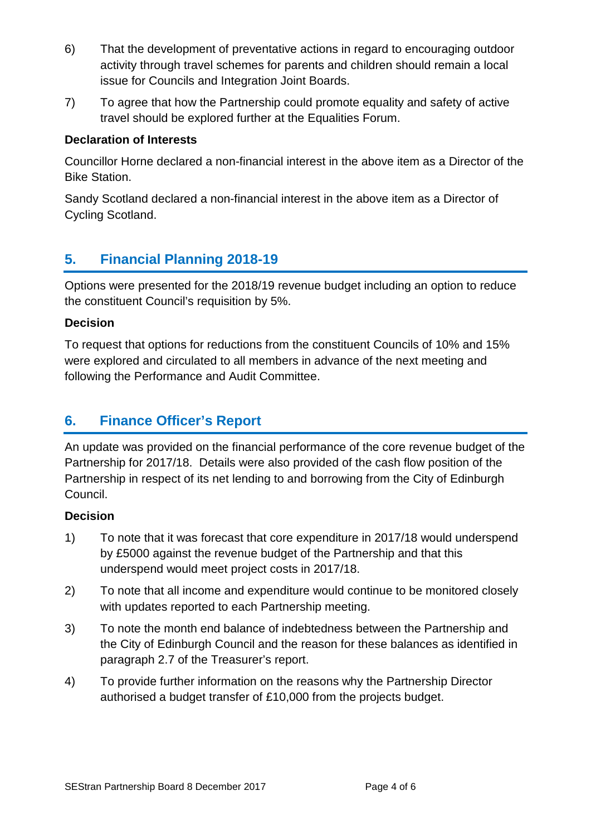- 6) That the development of preventative actions in regard to encouraging outdoor activity through travel schemes for parents and children should remain a local issue for Councils and Integration Joint Boards.
- 7) To agree that how the Partnership could promote equality and safety of active travel should be explored further at the Equalities Forum.

### **Declaration of Interests**

Councillor Horne declared a non-financial interest in the above item as a Director of the Bike Station.

Sandy Scotland declared a non-financial interest in the above item as a Director of Cycling Scotland.

# **5. Financial Planning 2018-19**

Options were presented for the 2018/19 revenue budget including an option to reduce the constituent Council's requisition by 5%.

### **Decision**

To request that options for reductions from the constituent Councils of 10% and 15% were explored and circulated to all members in advance of the next meeting and following the Performance and Audit Committee.

# **6. Finance Officer's Report**

An update was provided on the financial performance of the core revenue budget of the Partnership for 2017/18. Details were also provided of the cash flow position of the Partnership in respect of its net lending to and borrowing from the City of Edinburgh Council.

### **Decision**

- 1) To note that it was forecast that core expenditure in 2017/18 would underspend by £5000 against the revenue budget of the Partnership and that this underspend would meet project costs in 2017/18.
- 2) To note that all income and expenditure would continue to be monitored closely with updates reported to each Partnership meeting.
- 3) To note the month end balance of indebtedness between the Partnership and the City of Edinburgh Council and the reason for these balances as identified in paragraph 2.7 of the Treasurer's report.
- 4) To provide further information on the reasons why the Partnership Director authorised a budget transfer of £10,000 from the projects budget.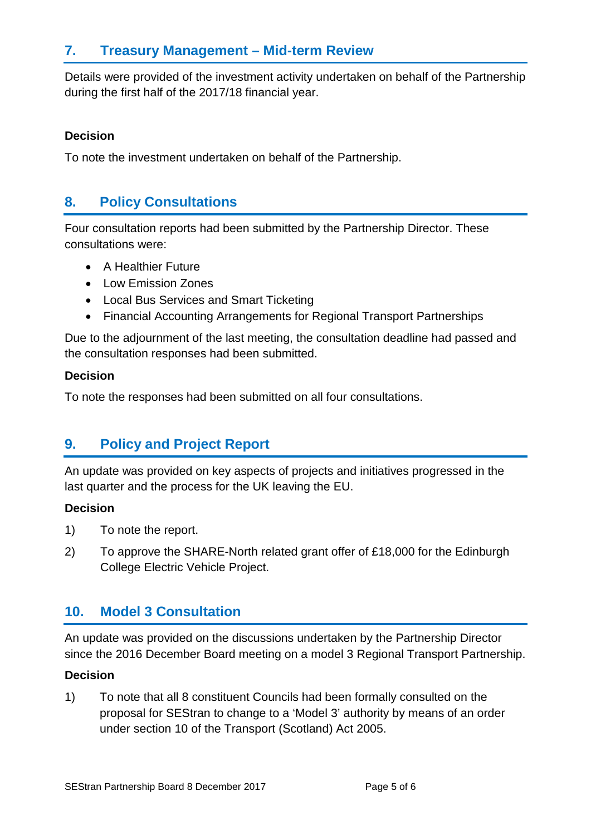# **7. Treasury Management – Mid-term Review**

Details were provided of the investment activity undertaken on behalf of the Partnership during the first half of the 2017/18 financial year.

### **Decision**

To note the investment undertaken on behalf of the Partnership.

# **8. Policy Consultations**

Four consultation reports had been submitted by the Partnership Director. These consultations were:

- A Healthier Future
- Low Emission Zones
- Local Bus Services and Smart Ticketing
- Financial Accounting Arrangements for Regional Transport Partnerships

Due to the adjournment of the last meeting, the consultation deadline had passed and the consultation responses had been submitted.

#### **Decision**

To note the responses had been submitted on all four consultations.

# **9. Policy and Project Report**

An update was provided on key aspects of projects and initiatives progressed in the last quarter and the process for the UK leaving the EU.

### **Decision**

- 1) To note the report.
- 2) To approve the SHARE-North related grant offer of £18,000 for the Edinburgh College Electric Vehicle Project.

# **10. Model 3 Consultation**

An update was provided on the discussions undertaken by the Partnership Director since the 2016 December Board meeting on a model 3 Regional Transport Partnership.

### **Decision**

1) To note that all 8 constituent Councils had been formally consulted on the proposal for SEStran to change to a 'Model 3' authority by means of an order under section 10 of the Transport (Scotland) Act 2005.